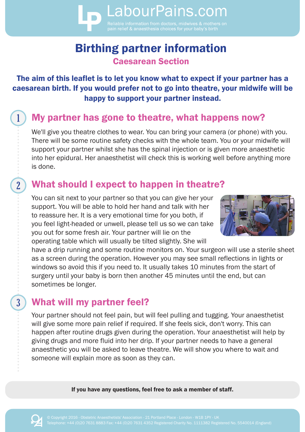# Birthing partner information Caesarean Section

LabourPains.com

The aim of this leaflet is to let you know what to expect if your partner has a caesarean birth. If you would prefer not to go into theatre, your midwife will be happy to support your partner instead.

### My partner has gone to theatre, what happens now?

We'll give you theatre clothes to wear. You can bring your camera (or phone) with you. There will be some routine safety checks with the whole team. You or your midwife will support your partner whilst she has the spinal injection or is given more anaesthetic into her epidural. Her anaesthetist will check this is working well before anything more is done.

## What should I expect to happen in theatre?

You can sit next to your partner so that you can give her your support. You will be able to hold her hand and talk with her to reassure her. It is a very emotional time for you both, if you feel light-headed or unwell, please tell us so we can take you out for some fresh air. Your partner will lie on the operating table which will usually be tilted slightly. She will



have a drip running and some routine monitors on. Your surgeon will use a sterile sheet as a screen during the operation. However you may see small reflections in lights or windows so avoid this if you need to. It usually takes 10 minutes from the start of surgery until your baby is born then another 45 minutes until the end, but can sometimes be longer.

## What will my partner feel?

 $\overline{2}$ 

 $\overline{3}$ 

Your partner should not feel pain, but will feel pulling and tugging. Your anaesthetist will give some more pain relief if required. If she feels sick, don't worry. This can happen after routine drugs given during the operation. Your anaesthetist will help by giving drugs and more fluid into her drip. If your partner needs to have a general anaesthetic you will be asked to leave theatre. We will show you where to wait and someone will explain more as soon as they can.

If you have any questions, feel free to ask a member of staff.